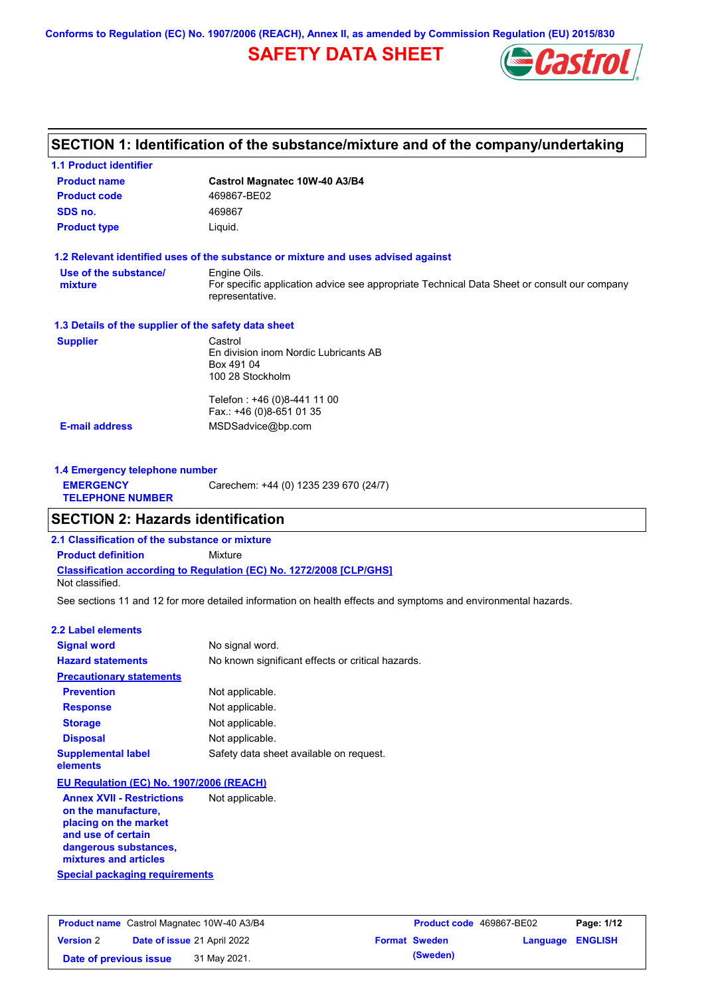**Conforms to Regulation (EC) No. 1907/2006 (REACH), Annex II, as amended by Commission Regulation (EU) 2015/830**

## **SAFETY DATA SHEET**



## **SECTION 1: Identification of the substance/mixture and of the company/undertaking**

| <b>1.1 Product identifier</b>                        |                                                                                                                |
|------------------------------------------------------|----------------------------------------------------------------------------------------------------------------|
| <b>Product name</b>                                  | Castrol Magnatec 10W-40 A3/B4                                                                                  |
| <b>Product code</b>                                  | 469867-BE02                                                                                                    |
| SDS no.                                              | 469867                                                                                                         |
| <b>Product type</b>                                  | Liquid.                                                                                                        |
|                                                      | 1.2 Relevant identified uses of the substance or mixture and uses advised against                              |
| Use of the substance/                                | Engine Oils.                                                                                                   |
| mixture                                              | For specific application advice see appropriate Technical Data Sheet or consult our company<br>representative. |
| 1.3 Details of the supplier of the safety data sheet |                                                                                                                |
| <b>Supplier</b>                                      | Castrol                                                                                                        |
|                                                      | En division inom Nordic Lubricants AB                                                                          |
|                                                      | Box 491 04<br>100 28 Stockholm                                                                                 |
|                                                      |                                                                                                                |
|                                                      | Telefon : +46 (0)8-441 11 00                                                                                   |
|                                                      | Fax.: +46 (0)8-651 01 35                                                                                       |
| <b>E-mail address</b>                                | MSDSadvice@bp.com                                                                                              |
|                                                      |                                                                                                                |
| 1.4 Emergency telephone number                       |                                                                                                                |

| <b>1.4 Elliergency telephone humber</b> |                                       |
|-----------------------------------------|---------------------------------------|
| <b>EMERGENCY</b>                        | Carechem: +44 (0) 1235 239 670 (24/7) |
| <b>TELEPHONE NUMBER</b>                 |                                       |

### **SECTION 2: Hazards identification**

**2.1 Classification of the substance or mixture**

**Classification according to Regulation (EC) No. 1272/2008 [CLP/GHS] Product definition** Mixture

Not classified.

See sections 11 and 12 for more detailed information on health effects and symptoms and environmental hazards.

#### **2.2 Label elements**

| <b>Signal word</b>                       | No signal word.                                   |
|------------------------------------------|---------------------------------------------------|
| <b>Hazard statements</b>                 | No known significant effects or critical hazards. |
| <b>Precautionary statements</b>          |                                                   |
| <b>Prevention</b>                        | Not applicable.                                   |
| <b>Response</b>                          | Not applicable.                                   |
| <b>Storage</b>                           | Not applicable.                                   |
| <b>Disposal</b>                          | Not applicable.                                   |
| <b>Supplemental label</b><br>elements    | Safety data sheet available on request.           |
| EU Regulation (EC) No. 1907/2006 (REACH) |                                                   |
| Annov XVII - Poetrictione                | Not annlicable                                    |

**Special packaging requirements Annex XVII - Restrictions on the manufacture, placing on the market and use of certain dangerous substances, mixtures and articles** Not applicable.

| <b>Product name</b> Castrol Magnatec 10W-40 A3/B4 |  | <b>Product code</b> 469867-BE02 |  | Page: 1/12           |                         |  |
|---------------------------------------------------|--|---------------------------------|--|----------------------|-------------------------|--|
| <b>Version 2</b>                                  |  | Date of issue 21 April 2022     |  | <b>Format Sweden</b> | <b>Language ENGLISH</b> |  |
| Date of previous issue                            |  | 31 May 2021.                    |  | (Sweden)             |                         |  |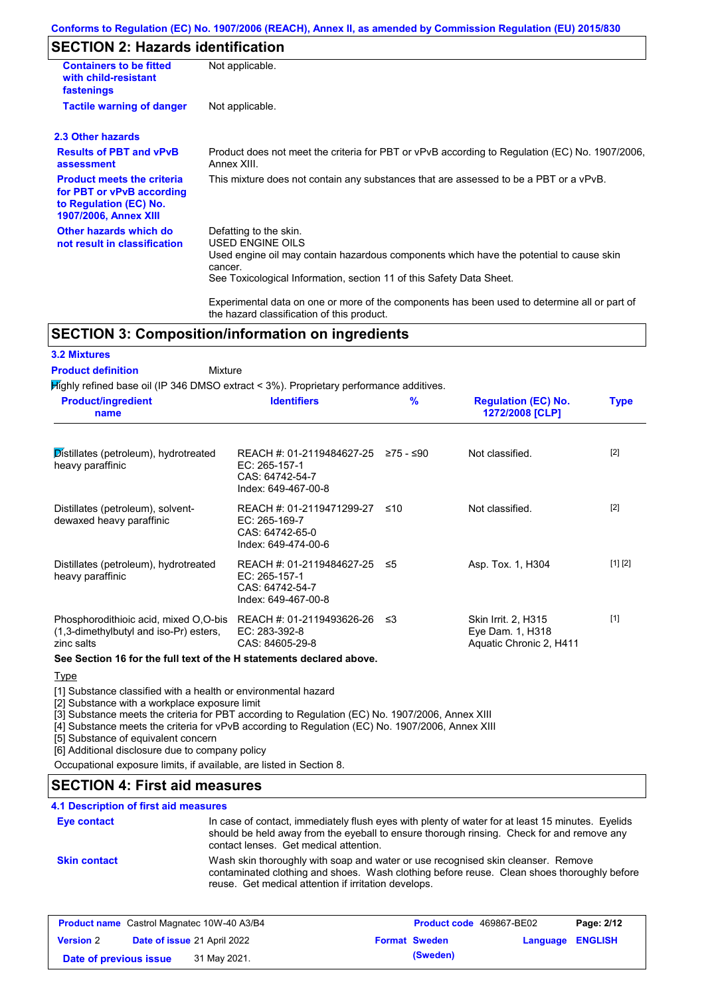#### **Conforms to Regulation (EC) No. 1907/2006 (REACH), Annex II, as amended by Commission Regulation (EU) 2015/830**

## **SECTION 2: Hazards identification**

| <b>Containers to be fitted</b><br>with child-resistant<br>fastenings                                                     | Not applicable.                                                                                                                                                                                                                 |  |  |  |
|--------------------------------------------------------------------------------------------------------------------------|---------------------------------------------------------------------------------------------------------------------------------------------------------------------------------------------------------------------------------|--|--|--|
| <b>Tactile warning of danger</b>                                                                                         | Not applicable.                                                                                                                                                                                                                 |  |  |  |
| 2.3 Other hazards                                                                                                        |                                                                                                                                                                                                                                 |  |  |  |
| <b>Results of PBT and vPvB</b><br>assessment                                                                             | Product does not meet the criteria for PBT or vPvB according to Regulation (EC) No. 1907/2006,<br>Annex XIII.                                                                                                                   |  |  |  |
| <b>Product meets the criteria</b><br>for PBT or vPvB according<br>to Regulation (EC) No.<br><b>1907/2006, Annex XIII</b> | This mixture does not contain any substances that are assessed to be a PBT or a vPvB.                                                                                                                                           |  |  |  |
| Other hazards which do<br>not result in classification                                                                   | Defatting to the skin.<br><b>USED ENGINE OILS</b><br>Used engine oil may contain hazardous components which have the potential to cause skin<br>cancer.<br>See Toxicological Information, section 11 of this Safety Data Sheet. |  |  |  |
|                                                                                                                          | Experimental data on one or more of the components has been used to determine all or part of<br>the hazard classification of this product.                                                                                      |  |  |  |

### **SECTION 3: Composition/information on ingredients**

#### **3.2 Mixtures**

#### Mixture **Product definition**

Highly refined base oil (IP 346 DMSO extract < 3%). Proprietary performance additives.

| <b>Product/ingredient</b><br>name                                                             | <b>Identifiers</b>                                                                   | $\frac{9}{6}$ | <b>Regulation (EC) No.</b><br>1272/2008 [CLP]                             | <b>Type</b> |
|-----------------------------------------------------------------------------------------------|--------------------------------------------------------------------------------------|---------------|---------------------------------------------------------------------------|-------------|
| $\mathcal{D}$ istillates (petroleum), hydrotreated<br>heavy paraffinic                        | REACH #: 01-2119484627-25<br>EC: 265-157-1<br>CAS: 64742-54-7<br>Index: 649-467-00-8 | ≥75 - ≤90     | Not classified.                                                           | $[2]$       |
| Distillates (petroleum), solvent-<br>dewaxed heavy paraffinic                                 | REACH #: 01-2119471299-27<br>EC: 265-169-7<br>CAS: 64742-65-0<br>Index: 649-474-00-6 | ≤10           | Not classified.                                                           | $[2]$       |
| Distillates (petroleum), hydrotreated<br>heavy paraffinic                                     | REACH #: 01-2119484627-25<br>EC: 265-157-1<br>CAS: 64742-54-7<br>Index: 649-467-00-8 | -≤5           | Asp. Tox. 1, H304                                                         | [1] [2]     |
| Phosphorodithioic acid, mixed O,O-bis<br>(1,3-dimethylbutyl and iso-Pr) esters,<br>zinc salts | REACH #: 01-2119493626-26<br>EC: 283-392-8<br>CAS: 84605-29-8                        | ו≥ ≤          | <b>Skin Irrit. 2, H315</b><br>Eye Dam. 1, H318<br>Aquatic Chronic 2, H411 | $[1]$       |

#### **See Section 16 for the full text of the H statements declared above.**

#### **Type**

[1] Substance classified with a health or environmental hazard

[2] Substance with a workplace exposure limit

[3] Substance meets the criteria for PBT according to Regulation (EC) No. 1907/2006, Annex XIII

[4] Substance meets the criteria for vPvB according to Regulation (EC) No. 1907/2006, Annex XIII

[5] Substance of equivalent concern

[6] Additional disclosure due to company policy

Occupational exposure limits, if available, are listed in Section 8.

## **SECTION 4: First aid measures**

### **4.1 Description of first aid measures**

| Eye contact         | In case of contact, immediately flush eyes with plenty of water for at least 15 minutes. Eyelids<br>should be held away from the eyeball to ensure thorough rinsing. Check for and remove any<br>contact lenses. Get medical attention. |
|---------------------|-----------------------------------------------------------------------------------------------------------------------------------------------------------------------------------------------------------------------------------------|
| <b>Skin contact</b> | Wash skin thoroughly with soap and water or use recognised skin cleanser. Remove<br>contaminated clothing and shoes. Wash clothing before reuse. Clean shoes thoroughly before<br>reuse. Get medical attention if irritation develops.  |

| <b>Product name</b> Castrol Magnatec 10W-40 A3/B4 |  | Product code 469867-BE02           |  | Page: 2/12           |  |                         |
|---------------------------------------------------|--|------------------------------------|--|----------------------|--|-------------------------|
| <b>Version 2</b>                                  |  | <b>Date of issue 21 April 2022</b> |  | <b>Format Sweden</b> |  | <b>Language ENGLISH</b> |
| Date of previous issue                            |  | 31 May 2021.                       |  | (Sweden)             |  |                         |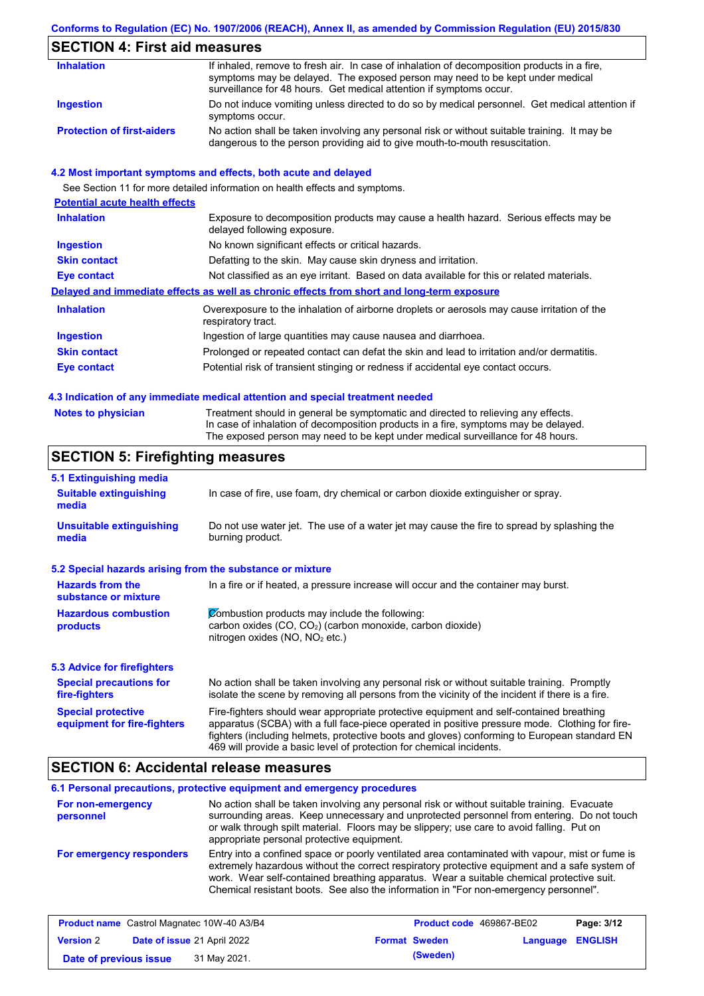### **Conforms to Regulation (EC) No. 1907/2006 (REACH), Annex II, as amended by Commission Regulation (EU) 2015/830**

## **SECTION 4: First aid measures**

| <b>Inhalation</b>                 | If inhaled, remove to fresh air. In case of inhalation of decomposition products in a fire,<br>symptoms may be delayed. The exposed person may need to be kept under medical<br>surveillance for 48 hours. Get medical attention if symptoms occur. |
|-----------------------------------|-----------------------------------------------------------------------------------------------------------------------------------------------------------------------------------------------------------------------------------------------------|
| Ingestion                         | Do not induce vomiting unless directed to do so by medical personnel. Get medical attention if<br>symptoms occur.                                                                                                                                   |
| <b>Protection of first-aiders</b> | No action shall be taken involving any personal risk or without suitable training. It may be<br>dangerous to the person providing aid to give mouth-to-mouth resuscitation.                                                                         |

#### **4.2 Most important symptoms and effects, both acute and delayed**

See Section 11 for more detailed information on health effects and symptoms.

| <b>Potential acute health effects</b> |                                                                                                                     |
|---------------------------------------|---------------------------------------------------------------------------------------------------------------------|
| <b>Inhalation</b>                     | Exposure to decomposition products may cause a health hazard. Serious effects may be<br>delayed following exposure. |
| <b>Ingestion</b>                      | No known significant effects or critical hazards.                                                                   |
| <b>Skin contact</b>                   | Defatting to the skin. May cause skin dryness and irritation.                                                       |
| <b>Eye contact</b>                    | Not classified as an eye irritant. Based on data available for this or related materials.                           |
|                                       | Delayed and immediate effects as well as chronic effects from short and long-term exposure                          |
| <b>Inhalation</b>                     | Overexposure to the inhalation of airborne droplets or aerosols may cause irritation of the<br>respiratory tract.   |
| <b>Ingestion</b>                      | Ingestion of large quantities may cause nausea and diarrhoea.                                                       |
| <b>Skin contact</b>                   | Prolonged or repeated contact can defat the skin and lead to irritation and/or dermatitis.                          |
| Eye contact                           | Potential risk of transient stinging or redness if accidental eye contact occurs.                                   |
|                                       |                                                                                                                     |

#### **4.3 Indication of any immediate medical attention and special treatment needed**

| <b>Notes to physician</b> | Treatment should in general be symptomatic and directed to relieving any effects.   |
|---------------------------|-------------------------------------------------------------------------------------|
|                           | In case of inhalation of decomposition products in a fire, symptoms may be delayed. |
|                           | The exposed person may need to be kept under medical surveillance for 48 hours.     |

## **SECTION 5: Firefighting measures**

| 5.1 Extinguishing media                                                                                                                                                                                           |                                                                                                                                                                                                                                                                                                                                                                   |  |  |
|-------------------------------------------------------------------------------------------------------------------------------------------------------------------------------------------------------------------|-------------------------------------------------------------------------------------------------------------------------------------------------------------------------------------------------------------------------------------------------------------------------------------------------------------------------------------------------------------------|--|--|
| <b>Suitable extinguishing</b><br>In case of fire, use foam, dry chemical or carbon dioxide extinguisher or spray.<br>media                                                                                        |                                                                                                                                                                                                                                                                                                                                                                   |  |  |
| <b>Unsuitable extinguishing</b><br>Do not use water jet. The use of a water jet may cause the fire to spread by splashing the<br>burning product.<br>media                                                        |                                                                                                                                                                                                                                                                                                                                                                   |  |  |
| 5.2 Special hazards arising from the substance or mixture                                                                                                                                                         |                                                                                                                                                                                                                                                                                                                                                                   |  |  |
| <b>Hazards from the</b><br>In a fire or if heated, a pressure increase will occur and the container may burst.<br>substance or mixture                                                                            |                                                                                                                                                                                                                                                                                                                                                                   |  |  |
| Combustion products may include the following:<br><b>Hazardous combustion</b><br>carbon oxides (CO, CO <sub>2</sub> ) (carbon monoxide, carbon dioxide)<br>products<br>nitrogen oxides (NO, NO <sub>2</sub> etc.) |                                                                                                                                                                                                                                                                                                                                                                   |  |  |
| 5.3 Advice for firefighters                                                                                                                                                                                       |                                                                                                                                                                                                                                                                                                                                                                   |  |  |
| <b>Special precautions for</b><br>fire-fighters                                                                                                                                                                   | No action shall be taken involving any personal risk or without suitable training. Promptly<br>isolate the scene by removing all persons from the vicinity of the incident if there is a fire.                                                                                                                                                                    |  |  |
| <b>Special protective</b><br>equipment for fire-fighters                                                                                                                                                          | Fire-fighters should wear appropriate protective equipment and self-contained breathing<br>apparatus (SCBA) with a full face-piece operated in positive pressure mode. Clothing for fire-<br>fighters (including helmets, protective boots and gloves) conforming to European standard EN<br>469 will provide a basic level of protection for chemical incidents. |  |  |

### **SECTION 6: Accidental release measures**

|                                | 6.1 Personal precautions, protective equipment and emergency procedures                                                                                                                                                                                                                                                                                                              |
|--------------------------------|--------------------------------------------------------------------------------------------------------------------------------------------------------------------------------------------------------------------------------------------------------------------------------------------------------------------------------------------------------------------------------------|
| For non-emergency<br>personnel | No action shall be taken involving any personal risk or without suitable training. Evacuate<br>surrounding areas. Keep unnecessary and unprotected personnel from entering. Do not touch<br>or walk through spilt material. Floors may be slippery; use care to avoid falling. Put on<br>appropriate personal protective equipment.                                                  |
| For emergency responders       | Entry into a confined space or poorly ventilated area contaminated with vapour, mist or fume is<br>extremely hazardous without the correct respiratory protective equipment and a safe system of<br>work. Wear self-contained breathing apparatus. Wear a suitable chemical protective suit.<br>Chemical resistant boots. See also the information in "For non-emergency personnel". |

|                        | <b>Product name</b> Castrol Magnatec 10W-40 A3/B4 | Product code 469867-BE02 |                         | Page: 3/12 |
|------------------------|---------------------------------------------------|--------------------------|-------------------------|------------|
| <b>Version 2</b>       | <b>Date of issue 21 April 2022</b>                | <b>Format Sweden</b>     | <b>Language ENGLISH</b> |            |
| Date of previous issue | 31 May 2021.                                      | (Sweden)                 |                         |            |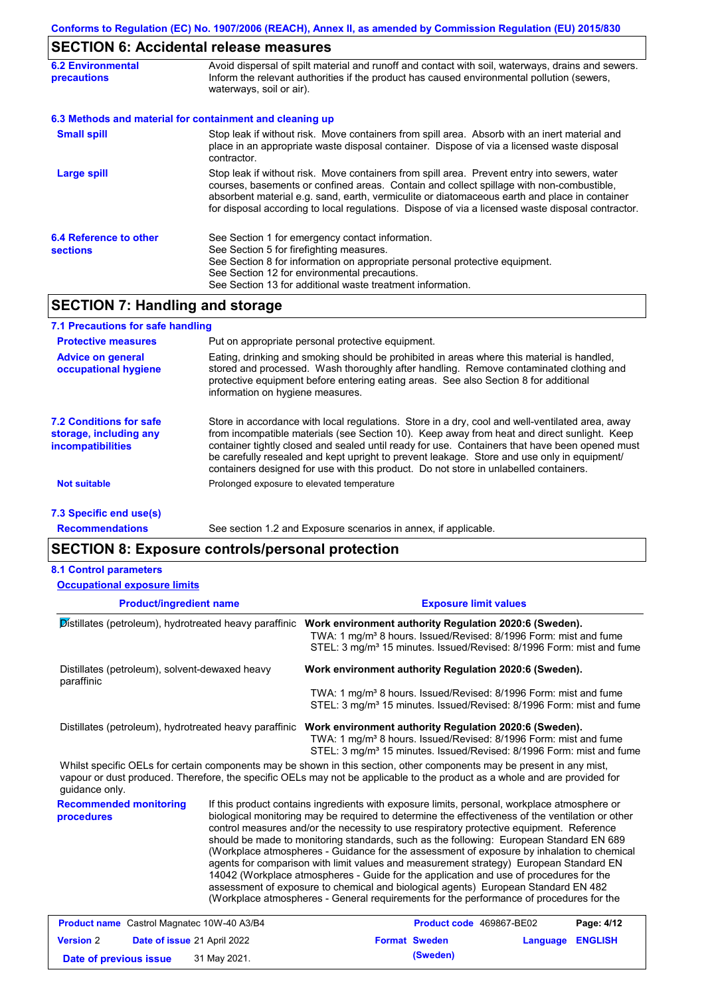### **SECTION 6: Accidental release measures**

| <b>6.2 Environmental</b><br>precautions                  | Avoid dispersal of spilt material and runoff and contact with soil, waterways, drains and sewers.<br>Inform the relevant authorities if the product has caused environmental pollution (sewers,<br>waterways, soil or air).                                                                                                                                                                    |  |  |  |  |
|----------------------------------------------------------|------------------------------------------------------------------------------------------------------------------------------------------------------------------------------------------------------------------------------------------------------------------------------------------------------------------------------------------------------------------------------------------------|--|--|--|--|
| 6.3 Methods and material for containment and cleaning up |                                                                                                                                                                                                                                                                                                                                                                                                |  |  |  |  |
| <b>Small spill</b>                                       | Stop leak if without risk. Move containers from spill area. Absorb with an inert material and<br>place in an appropriate waste disposal container. Dispose of via a licensed waste disposal<br>contractor.                                                                                                                                                                                     |  |  |  |  |
| <b>Large spill</b>                                       | Stop leak if without risk. Move containers from spill area. Prevent entry into sewers, water<br>courses, basements or confined areas. Contain and collect spillage with non-combustible,<br>absorbent material e.g. sand, earth, vermiculite or diatomaceous earth and place in container<br>for disposal according to local regulations. Dispose of via a licensed waste disposal contractor. |  |  |  |  |
| 6.4 Reference to other<br><b>sections</b>                | See Section 1 for emergency contact information.<br>See Section 5 for firefighting measures.<br>See Section 8 for information on appropriate personal protective equipment.<br>See Section 12 for environmental precautions.<br>See Section 13 for additional waste treatment information.                                                                                                     |  |  |  |  |

### **SECTION 7: Handling and storage**

| 7.1 Precautions for safe handling                                                    |                                                                                                                                                                                                                                                                                                                                                                                                                                                                                          |
|--------------------------------------------------------------------------------------|------------------------------------------------------------------------------------------------------------------------------------------------------------------------------------------------------------------------------------------------------------------------------------------------------------------------------------------------------------------------------------------------------------------------------------------------------------------------------------------|
| <b>Protective measures</b>                                                           | Put on appropriate personal protective equipment.                                                                                                                                                                                                                                                                                                                                                                                                                                        |
| <b>Advice on general</b><br>occupational hygiene                                     | Eating, drinking and smoking should be prohibited in areas where this material is handled,<br>stored and processed. Wash thoroughly after handling. Remove contaminated clothing and<br>protective equipment before entering eating areas. See also Section 8 for additional<br>information on hygiene measures.                                                                                                                                                                         |
| <b>7.2 Conditions for safe</b><br>storage, including any<br><i>incompatibilities</i> | Store in accordance with local requlations. Store in a dry, cool and well-ventilated area, away<br>from incompatible materials (see Section 10). Keep away from heat and direct sunlight. Keep<br>container tightly closed and sealed until ready for use. Containers that have been opened must<br>be carefully resealed and kept upright to prevent leakage. Store and use only in equipment/<br>containers designed for use with this product. Do not store in unlabelled containers. |
| Not suitable                                                                         | Prolonged exposure to elevated temperature                                                                                                                                                                                                                                                                                                                                                                                                                                               |
| 7.3 Specific end use(s)                                                              |                                                                                                                                                                                                                                                                                                                                                                                                                                                                                          |

**Recommendations**

See section 1.2 and Exposure scenarios in annex, if applicable.

### **SECTION 8: Exposure controls/personal protection**

#### **8.1 Control parameters**

**Product/ingredient name Exposure limit values Recommended monitoring procedures** If this product contains ingredients with exposure limits, personal, workplace atmosphere or biological monitoring may be required to determine the effectiveness of the ventilation or other control measures and/or the necessity to use respiratory protective equipment. Reference should be made to monitoring standards, such as the following: European Standard EN 689 (Workplace atmospheres - Guidance for the assessment of exposure by inhalation to chemical agents for comparison with limit values and measurement strategy) European Standard EN 14042 (Workplace atmospheres - Guide for the application and use of procedures for the assessment of exposure to chemical and biological agents) European Standard EN 482 (Workplace atmospheres - General requirements for the performance of procedures for the Whilst specific OELs for certain components may be shown in this section, other components may be present in any mist, vapour or dust produced. Therefore, the specific OELs may not be applicable to the product as a whole and are provided for guidance only. **Occupational exposure limits** Distillates (petroleum), hydrotreated heavy paraffinic **Work environment authority Regulation 2020:6 (Sweden).** TWA: 1 mg/m<sup>3</sup> 8 hours. Issued/Revised: 8/1996 Form: mist and fume STEL: 3 mg/m<sup>3</sup> 15 minutes. Issued/Revised: 8/1996 Form: mist and fume Distillates (petroleum), solvent-dewaxed heavy paraffinic **Work environment authority Regulation 2020:6 (Sweden).** TWA: 1 mg/m<sup>3</sup> 8 hours. Issued/Revised: 8/1996 Form: mist and fume STEL: 3 mg/m<sup>3</sup> 15 minutes. Issued/Revised: 8/1996 Form: mist and fume Distillates (petroleum), hydrotreated heavy paraffinic **Work environment authority Regulation 2020:6 (Sweden).** TWA: 1 mg/m<sup>3</sup> 8 hours. Issued/Revised: 8/1996 Form: mist and fume STEL: 3 mg/m<sup>3</sup> 15 minutes. Issued/Revised: 8/1996 Form: mist and fume

| <b>Product name</b> Castrol Magnatec 10W-40 A3/B4 |  |                             | <b>Product code</b> 469867-BE02 | Page: 4/12           |                         |  |
|---------------------------------------------------|--|-----------------------------|---------------------------------|----------------------|-------------------------|--|
| <b>Version 2</b>                                  |  | Date of issue 21 April 2022 |                                 | <b>Format Sweden</b> | <b>Language ENGLISH</b> |  |
| Date of previous issue                            |  | 31 May 2021.                |                                 | (Sweden)             |                         |  |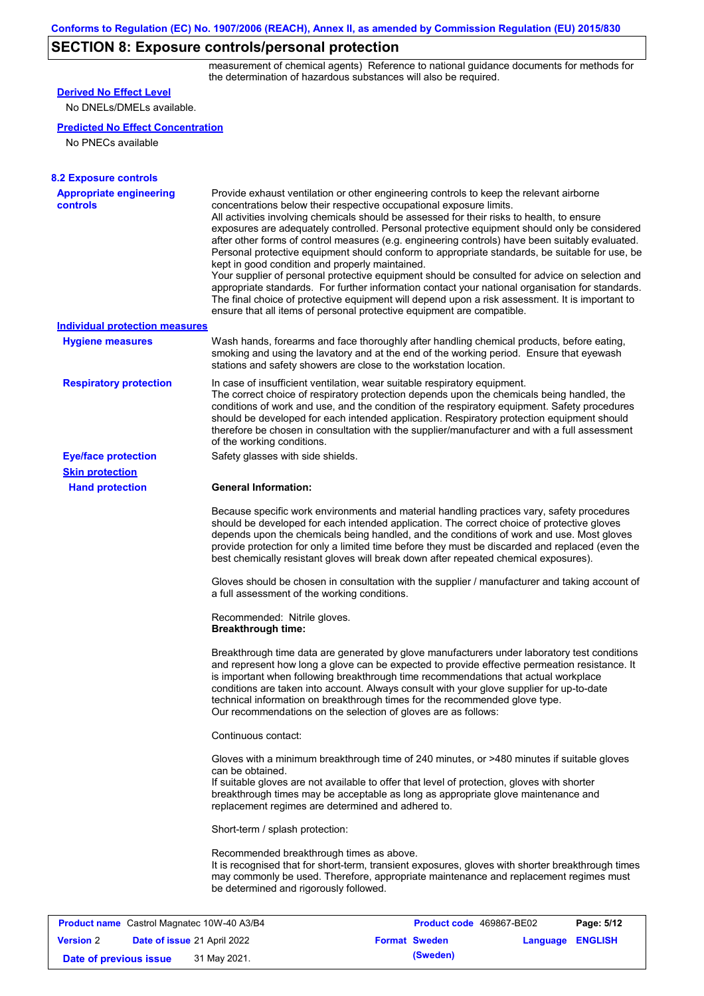## **SECTION 8: Exposure controls/personal protection**

measurement of chemical agents) Reference to national guidance documents for methods for the determination of hazardous substances will also be required.

| <b>Derived No Effect Level</b><br>No DNELs/DMELs available. |                                                                                    |                                                                                                                                                                                                                                                                                                                                                                                                                                                                                                                                                                                                                                                                                                                                                                                                                                                                                                                                                      |                  |            |
|-------------------------------------------------------------|------------------------------------------------------------------------------------|------------------------------------------------------------------------------------------------------------------------------------------------------------------------------------------------------------------------------------------------------------------------------------------------------------------------------------------------------------------------------------------------------------------------------------------------------------------------------------------------------------------------------------------------------------------------------------------------------------------------------------------------------------------------------------------------------------------------------------------------------------------------------------------------------------------------------------------------------------------------------------------------------------------------------------------------------|------------------|------------|
| <b>Predicted No Effect Concentration</b>                    |                                                                                    |                                                                                                                                                                                                                                                                                                                                                                                                                                                                                                                                                                                                                                                                                                                                                                                                                                                                                                                                                      |                  |            |
| No PNECs available                                          |                                                                                    |                                                                                                                                                                                                                                                                                                                                                                                                                                                                                                                                                                                                                                                                                                                                                                                                                                                                                                                                                      |                  |            |
|                                                             |                                                                                    |                                                                                                                                                                                                                                                                                                                                                                                                                                                                                                                                                                                                                                                                                                                                                                                                                                                                                                                                                      |                  |            |
| <b>8.2 Exposure controls</b>                                |                                                                                    |                                                                                                                                                                                                                                                                                                                                                                                                                                                                                                                                                                                                                                                                                                                                                                                                                                                                                                                                                      |                  |            |
| <b>Appropriate engineering</b><br><b>controls</b>           | kept in good condition and properly maintained.                                    | Provide exhaust ventilation or other engineering controls to keep the relevant airborne<br>concentrations below their respective occupational exposure limits.<br>All activities involving chemicals should be assessed for their risks to health, to ensure<br>exposures are adequately controlled. Personal protective equipment should only be considered<br>after other forms of control measures (e.g. engineering controls) have been suitably evaluated.<br>Personal protective equipment should conform to appropriate standards, be suitable for use, be<br>Your supplier of personal protective equipment should be consulted for advice on selection and<br>appropriate standards. For further information contact your national organisation for standards.<br>The final choice of protective equipment will depend upon a risk assessment. It is important to<br>ensure that all items of personal protective equipment are compatible. |                  |            |
| <b>Individual protection measures</b>                       |                                                                                    |                                                                                                                                                                                                                                                                                                                                                                                                                                                                                                                                                                                                                                                                                                                                                                                                                                                                                                                                                      |                  |            |
| <b>Hygiene measures</b>                                     |                                                                                    | Wash hands, forearms and face thoroughly after handling chemical products, before eating,<br>smoking and using the lavatory and at the end of the working period. Ensure that eyewash<br>stations and safety showers are close to the workstation location.                                                                                                                                                                                                                                                                                                                                                                                                                                                                                                                                                                                                                                                                                          |                  |            |
| <b>Respiratory protection</b>                               | of the working conditions.                                                         | In case of insufficient ventilation, wear suitable respiratory equipment.<br>The correct choice of respiratory protection depends upon the chemicals being handled, the<br>conditions of work and use, and the condition of the respiratory equipment. Safety procedures<br>should be developed for each intended application. Respiratory protection equipment should<br>therefore be chosen in consultation with the supplier/manufacturer and with a full assessment                                                                                                                                                                                                                                                                                                                                                                                                                                                                              |                  |            |
| <b>Eye/face protection</b>                                  | Safety glasses with side shields.                                                  |                                                                                                                                                                                                                                                                                                                                                                                                                                                                                                                                                                                                                                                                                                                                                                                                                                                                                                                                                      |                  |            |
| <b>Skin protection</b>                                      |                                                                                    |                                                                                                                                                                                                                                                                                                                                                                                                                                                                                                                                                                                                                                                                                                                                                                                                                                                                                                                                                      |                  |            |
| <b>Hand protection</b>                                      | <b>General Information:</b>                                                        |                                                                                                                                                                                                                                                                                                                                                                                                                                                                                                                                                                                                                                                                                                                                                                                                                                                                                                                                                      |                  |            |
|                                                             |                                                                                    | Because specific work environments and material handling practices vary, safety procedures<br>should be developed for each intended application. The correct choice of protective gloves<br>depends upon the chemicals being handled, and the conditions of work and use. Most gloves<br>provide protection for only a limited time before they must be discarded and replaced (even the<br>best chemically resistant gloves will break down after repeated chemical exposures).                                                                                                                                                                                                                                                                                                                                                                                                                                                                     |                  |            |
|                                                             | a full assessment of the working conditions.                                       | Gloves should be chosen in consultation with the supplier / manufacturer and taking account of                                                                                                                                                                                                                                                                                                                                                                                                                                                                                                                                                                                                                                                                                                                                                                                                                                                       |                  |            |
|                                                             | Recommended: Nitrile gloves.<br><b>Breakthrough time:</b>                          |                                                                                                                                                                                                                                                                                                                                                                                                                                                                                                                                                                                                                                                                                                                                                                                                                                                                                                                                                      |                  |            |
|                                                             |                                                                                    | Breakthrough time data are generated by glove manufacturers under laboratory test conditions<br>and represent how long a glove can be expected to provide effective permeation resistance. It<br>is important when following breakthrough time recommendations that actual workplace<br>conditions are taken into account. Always consult with your glove supplier for up-to-date<br>technical information on breakthrough times for the recommended glove type.<br>Our recommendations on the selection of gloves are as follows:                                                                                                                                                                                                                                                                                                                                                                                                                   |                  |            |
|                                                             | Continuous contact:                                                                |                                                                                                                                                                                                                                                                                                                                                                                                                                                                                                                                                                                                                                                                                                                                                                                                                                                                                                                                                      |                  |            |
|                                                             | can be obtained.<br>replacement regimes are determined and adhered to.             | Gloves with a minimum breakthrough time of 240 minutes, or >480 minutes if suitable gloves<br>If suitable gloves are not available to offer that level of protection, gloves with shorter<br>breakthrough times may be acceptable as long as appropriate glove maintenance and                                                                                                                                                                                                                                                                                                                                                                                                                                                                                                                                                                                                                                                                       |                  |            |
|                                                             | Short-term / splash protection:                                                    |                                                                                                                                                                                                                                                                                                                                                                                                                                                                                                                                                                                                                                                                                                                                                                                                                                                                                                                                                      |                  |            |
|                                                             | Recommended breakthrough times as above.<br>be determined and rigorously followed. | It is recognised that for short-term, transient exposures, gloves with shorter breakthrough times<br>may commonly be used. Therefore, appropriate maintenance and replacement regimes must                                                                                                                                                                                                                                                                                                                                                                                                                                                                                                                                                                                                                                                                                                                                                           |                  |            |
|                                                             |                                                                                    |                                                                                                                                                                                                                                                                                                                                                                                                                                                                                                                                                                                                                                                                                                                                                                                                                                                                                                                                                      |                  |            |
| <b>Product name</b> Castrol Magnatec 10W-40 A3/B4           |                                                                                    | Product code 469867-BE02                                                                                                                                                                                                                                                                                                                                                                                                                                                                                                                                                                                                                                                                                                                                                                                                                                                                                                                             |                  | Page: 5/12 |
| <b>Version 2</b><br>Date of issue 21 April 2022             |                                                                                    | <b>Format Sweden</b>                                                                                                                                                                                                                                                                                                                                                                                                                                                                                                                                                                                                                                                                                                                                                                                                                                                                                                                                 | Language ENGLISH |            |

**Date of previous issue (Sweden)** 31 May 2021.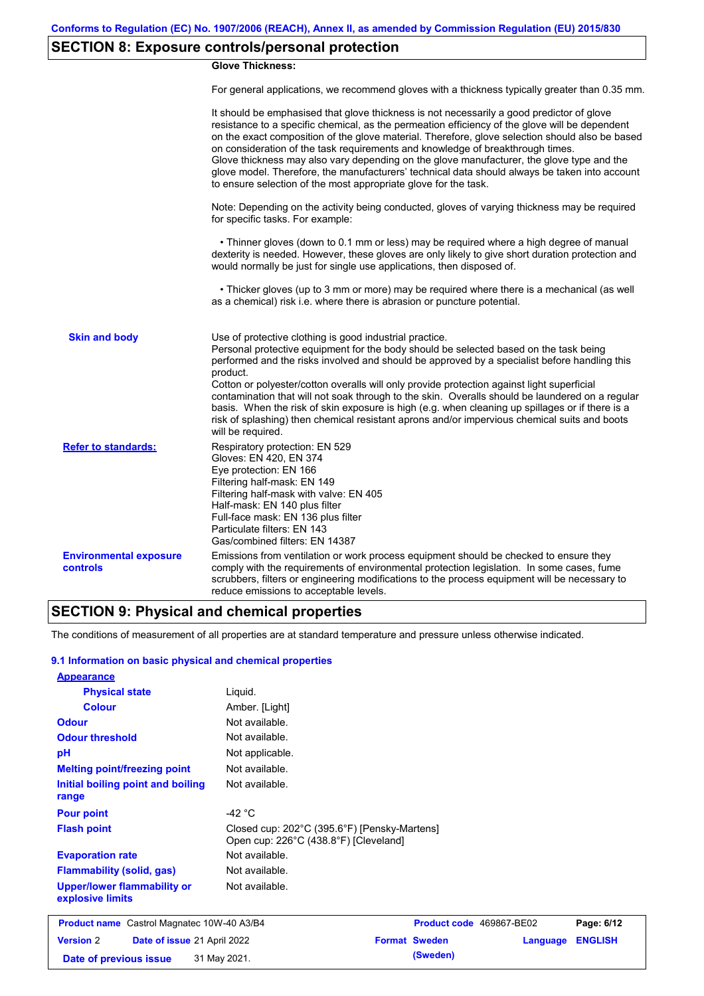## **SECTION 8: Exposure controls/personal protection**

#### **Glove Thickness:**

For general applications, we recommend gloves with a thickness typically greater than 0.35 mm.

|                                                  | It should be emphasised that glove thickness is not necessarily a good predictor of glove<br>resistance to a specific chemical, as the permeation efficiency of the glove will be dependent<br>on the exact composition of the glove material. Therefore, glove selection should also be based<br>on consideration of the task requirements and knowledge of breakthrough times.<br>Glove thickness may also vary depending on the glove manufacturer, the glove type and the<br>glove model. Therefore, the manufacturers' technical data should always be taken into account<br>to ensure selection of the most appropriate glove for the task.                                     |
|--------------------------------------------------|---------------------------------------------------------------------------------------------------------------------------------------------------------------------------------------------------------------------------------------------------------------------------------------------------------------------------------------------------------------------------------------------------------------------------------------------------------------------------------------------------------------------------------------------------------------------------------------------------------------------------------------------------------------------------------------|
|                                                  | Note: Depending on the activity being conducted, gloves of varying thickness may be required<br>for specific tasks. For example:                                                                                                                                                                                                                                                                                                                                                                                                                                                                                                                                                      |
|                                                  | • Thinner gloves (down to 0.1 mm or less) may be required where a high degree of manual<br>dexterity is needed. However, these gloves are only likely to give short duration protection and<br>would normally be just for single use applications, then disposed of.                                                                                                                                                                                                                                                                                                                                                                                                                  |
|                                                  | • Thicker gloves (up to 3 mm or more) may be required where there is a mechanical (as well<br>as a chemical) risk i.e. where there is abrasion or puncture potential.                                                                                                                                                                                                                                                                                                                                                                                                                                                                                                                 |
| <b>Skin and body</b>                             | Use of protective clothing is good industrial practice.<br>Personal protective equipment for the body should be selected based on the task being<br>performed and the risks involved and should be approved by a specialist before handling this<br>product.<br>Cotton or polyester/cotton overalls will only provide protection against light superficial<br>contamination that will not soak through to the skin. Overalls should be laundered on a regular<br>basis. When the risk of skin exposure is high (e.g. when cleaning up spillages or if there is a<br>risk of splashing) then chemical resistant aprons and/or impervious chemical suits and boots<br>will be required. |
| <b>Refer to standards:</b>                       | Respiratory protection: EN 529<br>Gloves: EN 420, EN 374<br>Eye protection: EN 166<br>Filtering half-mask: EN 149<br>Filtering half-mask with valve: EN 405<br>Half-mask: EN 140 plus filter<br>Full-face mask: EN 136 plus filter<br>Particulate filters: EN 143<br>Gas/combined filters: EN 14387                                                                                                                                                                                                                                                                                                                                                                                   |
| <b>Environmental exposure</b><br><b>controls</b> | Emissions from ventilation or work process equipment should be checked to ensure they<br>comply with the requirements of environmental protection legislation. In some cases, fume<br>scrubbers, filters or engineering modifications to the process equipment will be necessary to<br>reduce emissions to acceptable levels.                                                                                                                                                                                                                                                                                                                                                         |

## **SECTION 9: Physical and chemical properties**

The conditions of measurement of all properties are at standard temperature and pressure unless otherwise indicated.

#### **9.1 Information on basic physical and chemical properties**

| <b>Appearance</b>                                      |                                                                                       |                      |                          |                |
|--------------------------------------------------------|---------------------------------------------------------------------------------------|----------------------|--------------------------|----------------|
| <b>Physical state</b>                                  | Liquid.                                                                               |                      |                          |                |
| <b>Colour</b>                                          | Amber. [Light]                                                                        |                      |                          |                |
| <b>Odour</b>                                           | Not available.                                                                        |                      |                          |                |
| <b>Odour threshold</b>                                 | Not available.                                                                        |                      |                          |                |
| pH                                                     | Not applicable.                                                                       |                      |                          |                |
| <b>Melting point/freezing point</b>                    | Not available.                                                                        |                      |                          |                |
| Initial boiling point and boiling<br>range             | Not available.                                                                        |                      |                          |                |
| <b>Pour point</b>                                      | -42 $\degree$ C                                                                       |                      |                          |                |
| <b>Flash point</b>                                     | Closed cup: 202°C (395.6°F) [Pensky-Martens]<br>Open cup: 226°C (438.8°F) [Cleveland] |                      |                          |                |
| <b>Evaporation rate</b>                                | Not available.                                                                        |                      |                          |                |
| <b>Flammability (solid, gas)</b>                       | Not available.                                                                        |                      |                          |                |
| <b>Upper/lower flammability or</b><br>explosive limits | Not available.                                                                        |                      |                          |                |
| <b>Product name</b> Castrol Magnatec 10W-40 A3/B4      |                                                                                       |                      | Product code 469867-BE02 | Page: 6/12     |
| <b>Version 2</b><br>Date of issue 21 April 2022        |                                                                                       | <b>Format Sweden</b> | Language                 | <b>ENGLISH</b> |
| Date of previous issue                                 | 31 May 2021.                                                                          | (Sweden)             |                          |                |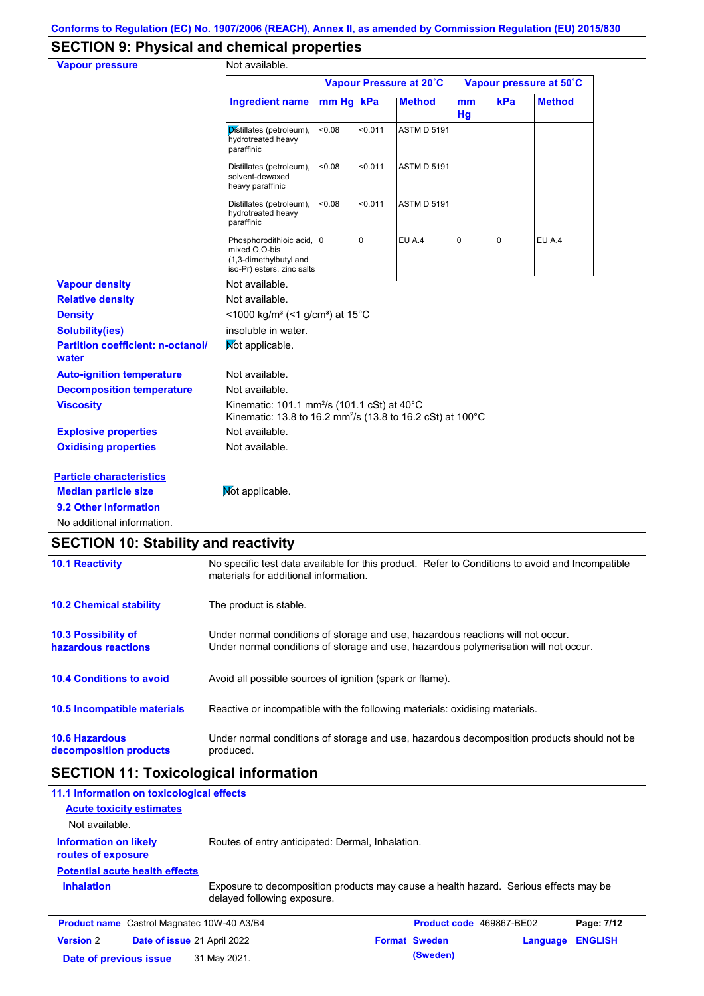# **SECTION 9: Physical and chemical properties**

| <b>Vapour pressure</b>                            | Not available.                                                                                                                    |         |         |                         |          |     |                         |
|---------------------------------------------------|-----------------------------------------------------------------------------------------------------------------------------------|---------|---------|-------------------------|----------|-----|-------------------------|
|                                                   |                                                                                                                                   |         |         | Vapour Pressure at 20°C |          |     | Vapour pressure at 50°C |
|                                                   | <b>Ingredient name</b>                                                                                                            | $mm$ Hq | kPa     | <b>Method</b>           | mm<br>Hg | kPa | <b>Method</b>           |
|                                                   | Distillates (petroleum),<br>hydrotreated heavy<br>paraffinic                                                                      | < 0.08  | < 0.011 | <b>ASTM D 5191</b>      |          |     |                         |
|                                                   | Distillates (petroleum),<br>solvent-dewaxed<br>heavy paraffinic                                                                   | < 0.08  | < 0.011 | <b>ASTM D 5191</b>      |          |     |                         |
|                                                   | Distillates (petroleum),<br>hydrotreated heavy<br>paraffinic                                                                      | < 0.08  | < 0.011 | <b>ASTM D 5191</b>      |          |     |                         |
|                                                   | Phosphorodithioic acid, 0<br>mixed O,O-bis<br>(1,3-dimethylbutyl and<br>iso-Pr) esters, zinc salts                                |         | 0       | <b>EU A.4</b>           | 0        | 0   | EU A.4                  |
| <b>Vapour density</b>                             | Not available.                                                                                                                    |         |         |                         |          |     |                         |
| <b>Relative density</b>                           | Not available.                                                                                                                    |         |         |                         |          |     |                         |
| <b>Density</b>                                    | <1000 kg/m <sup>3</sup> (<1 g/cm <sup>3</sup> ) at 15°C                                                                           |         |         |                         |          |     |                         |
| <b>Solubility(ies)</b>                            | insoluble in water.                                                                                                               |         |         |                         |          |     |                         |
| <b>Partition coefficient: n-octanol/</b><br>water | Mot applicable.                                                                                                                   |         |         |                         |          |     |                         |
| <b>Auto-ignition temperature</b>                  | Not available.                                                                                                                    |         |         |                         |          |     |                         |
| <b>Decomposition temperature</b>                  | Not available.                                                                                                                    |         |         |                         |          |     |                         |
| <b>Viscosity</b>                                  | Kinematic: 101.1 mm <sup>2</sup> /s (101.1 cSt) at 40°C<br>Kinematic: 13.8 to 16.2 mm <sup>2</sup> /s (13.8 to 16.2 cSt) at 100°C |         |         |                         |          |     |                         |
| <b>Explosive properties</b>                       | Not available.                                                                                                                    |         |         |                         |          |     |                         |
| <b>Oxidising properties</b>                       | Not available.                                                                                                                    |         |         |                         |          |     |                         |
| <b>Particle characteristics</b>                   |                                                                                                                                   |         |         |                         |          |     |                         |
| <b>Median particle size</b>                       | Not applicable.                                                                                                                   |         |         |                         |          |     |                         |
| 9.2 Other information                             |                                                                                                                                   |         |         |                         |          |     |                         |
| No additional information.                        |                                                                                                                                   |         |         |                         |          |     |                         |

## **SECTION 10: Stability and reactivity**

| <b>10.1 Reactivity</b>                            | No specific test data available for this product. Refer to Conditions to avoid and Incompatible<br>materials for additional information.                                |
|---------------------------------------------------|-------------------------------------------------------------------------------------------------------------------------------------------------------------------------|
| <b>10.2 Chemical stability</b>                    | The product is stable.                                                                                                                                                  |
| <b>10.3 Possibility of</b><br>hazardous reactions | Under normal conditions of storage and use, hazardous reactions will not occur.<br>Under normal conditions of storage and use, hazardous polymerisation will not occur. |
| <b>10.4 Conditions to avoid</b>                   | Avoid all possible sources of ignition (spark or flame).                                                                                                                |
| <b>10.5 Incompatible materials</b>                | Reactive or incompatible with the following materials: oxidising materials.                                                                                             |
| <b>10.6 Hazardous</b><br>decomposition products   | Under normal conditions of storage and use, hazardous decomposition products should not be<br>produced.                                                                 |

## **SECTION 11: Toxicological information**

| 11.1 Information on toxicological effects          |                                                                                                                     |                      |                          |                |
|----------------------------------------------------|---------------------------------------------------------------------------------------------------------------------|----------------------|--------------------------|----------------|
| <b>Acute toxicity estimates</b>                    |                                                                                                                     |                      |                          |                |
| Not available.                                     |                                                                                                                     |                      |                          |                |
| <b>Information on likely</b><br>routes of exposure | Routes of entry anticipated: Dermal, Inhalation.                                                                    |                      |                          |                |
| <b>Potential acute health effects</b>              |                                                                                                                     |                      |                          |                |
| <b>Inhalation</b>                                  | Exposure to decomposition products may cause a health hazard. Serious effects may be<br>delayed following exposure. |                      |                          |                |
| <b>Product name</b> Castrol Magnatec 10W-40 A3/B4  |                                                                                                                     |                      | Product code 469867-BE02 | Page: 7/12     |
| <b>Version 2</b><br>Date of issue 21 April 2022    |                                                                                                                     | <b>Format Sweden</b> | Language                 | <b>ENGLISH</b> |
| Date of previous issue                             | 31 May 2021.                                                                                                        | (Sweden)             |                          |                |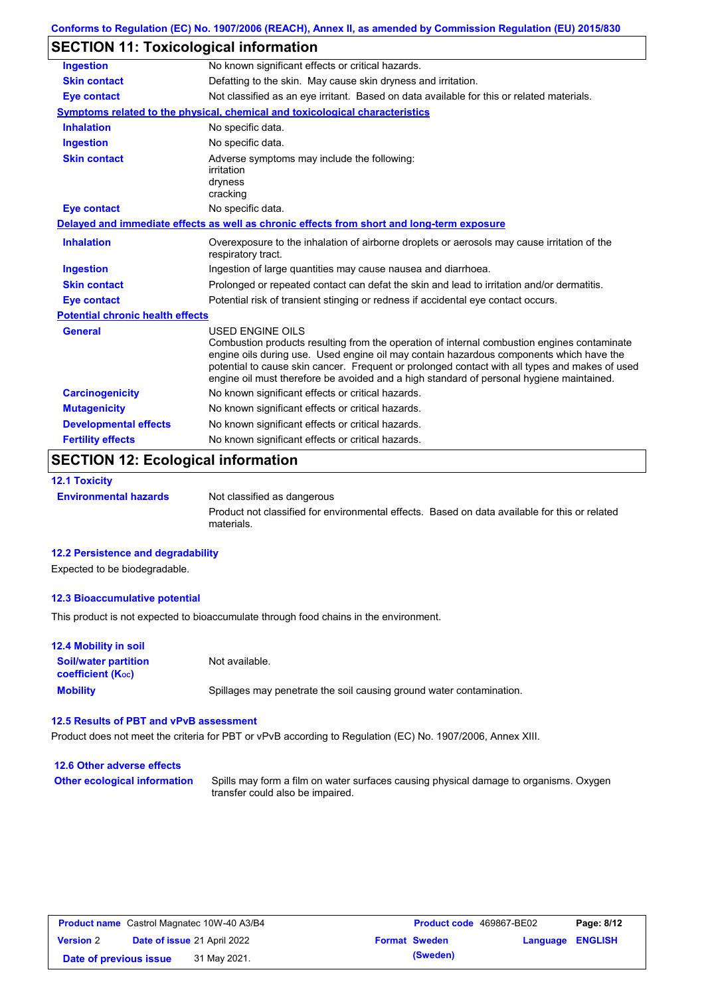| Conforms to Regulation (EC) No. 1907/2006 (REACH), Annex II, as amended by Commission Regulation (EU) 2015/830 |  |
|----------------------------------------------------------------------------------------------------------------|--|
|----------------------------------------------------------------------------------------------------------------|--|

## **SECTION 11: Toxicological information**

| <b>Ingestion</b>                        | No known significant effects or critical hazards.                                                                                                                                                                                                                                                                                                                                                        |  |
|-----------------------------------------|----------------------------------------------------------------------------------------------------------------------------------------------------------------------------------------------------------------------------------------------------------------------------------------------------------------------------------------------------------------------------------------------------------|--|
| <b>Skin contact</b>                     | Defatting to the skin. May cause skin dryness and irritation.                                                                                                                                                                                                                                                                                                                                            |  |
| <b>Eye contact</b>                      | Not classified as an eye irritant. Based on data available for this or related materials.                                                                                                                                                                                                                                                                                                                |  |
|                                         | Symptoms related to the physical, chemical and toxicological characteristics                                                                                                                                                                                                                                                                                                                             |  |
| <b>Inhalation</b>                       | No specific data.                                                                                                                                                                                                                                                                                                                                                                                        |  |
| <b>Ingestion</b>                        | No specific data.                                                                                                                                                                                                                                                                                                                                                                                        |  |
| <b>Skin contact</b>                     | Adverse symptoms may include the following:<br>irritation<br>dryness<br>cracking                                                                                                                                                                                                                                                                                                                         |  |
| <b>Eye contact</b>                      | No specific data.                                                                                                                                                                                                                                                                                                                                                                                        |  |
|                                         | Delayed and immediate effects as well as chronic effects from short and long-term exposure                                                                                                                                                                                                                                                                                                               |  |
| <b>Inhalation</b>                       | Overexposure to the inhalation of airborne droplets or aerosols may cause irritation of the<br>respiratory tract.                                                                                                                                                                                                                                                                                        |  |
| <b>Ingestion</b>                        | Ingestion of large quantities may cause nausea and diarrhoea.                                                                                                                                                                                                                                                                                                                                            |  |
| <b>Skin contact</b>                     | Prolonged or repeated contact can defat the skin and lead to irritation and/or dermatitis.                                                                                                                                                                                                                                                                                                               |  |
| <b>Eye contact</b>                      | Potential risk of transient stinging or redness if accidental eye contact occurs.                                                                                                                                                                                                                                                                                                                        |  |
| <b>Potential chronic health effects</b> |                                                                                                                                                                                                                                                                                                                                                                                                          |  |
| <b>General</b>                          | USED ENGINE OILS<br>Combustion products resulting from the operation of internal combustion engines contaminate<br>engine oils during use. Used engine oil may contain hazardous components which have the<br>potential to cause skin cancer. Frequent or prolonged contact with all types and makes of used<br>engine oil must therefore be avoided and a high standard of personal hygiene maintained. |  |
| <b>Carcinogenicity</b>                  | No known significant effects or critical hazards.                                                                                                                                                                                                                                                                                                                                                        |  |
| <b>Mutagenicity</b>                     | No known significant effects or critical hazards.                                                                                                                                                                                                                                                                                                                                                        |  |
| <b>Developmental effects</b>            | No known significant effects or critical hazards.                                                                                                                                                                                                                                                                                                                                                        |  |
| <b>Fertility effects</b>                | No known significant effects or critical hazards.                                                                                                                                                                                                                                                                                                                                                        |  |

## **SECTION 12: Ecological information**

#### **12.1 Toxicity**

**Environmental hazards** Not classified as dangerous Product not classified for environmental effects. Based on data available for this or related materials.

#### **12.2 Persistence and degradability**

Expected to be biodegradable.

#### **12.3 Bioaccumulative potential**

This product is not expected to bioaccumulate through food chains in the environment.

| <b>12.4 Mobility in soil</b>                            |                                                                      |
|---------------------------------------------------------|----------------------------------------------------------------------|
| <b>Soil/water partition</b><br><b>coefficient (Koc)</b> | Not available.                                                       |
| <b>Mobility</b>                                         | Spillages may penetrate the soil causing ground water contamination. |

#### **12.5 Results of PBT and vPvB assessment**

Product does not meet the criteria for PBT or vPvB according to Regulation (EC) No. 1907/2006, Annex XIII.

#### **12.6 Other adverse effects Other ecological information**

Spills may form a film on water surfaces causing physical damage to organisms. Oxygen transfer could also be impaired.

|                        | <b>Product name</b> Castrol Magnatec 10W-40 A3/B4 | <b>Product code</b> 469867-BE02 |                  | Page: 8/12 |
|------------------------|---------------------------------------------------|---------------------------------|------------------|------------|
| <b>Version 2</b>       | <b>Date of issue 21 April 2022</b>                | <b>Format Sweden</b>            | Language ENGLISH |            |
| Date of previous issue | 31 May 2021.                                      | (Sweden)                        |                  |            |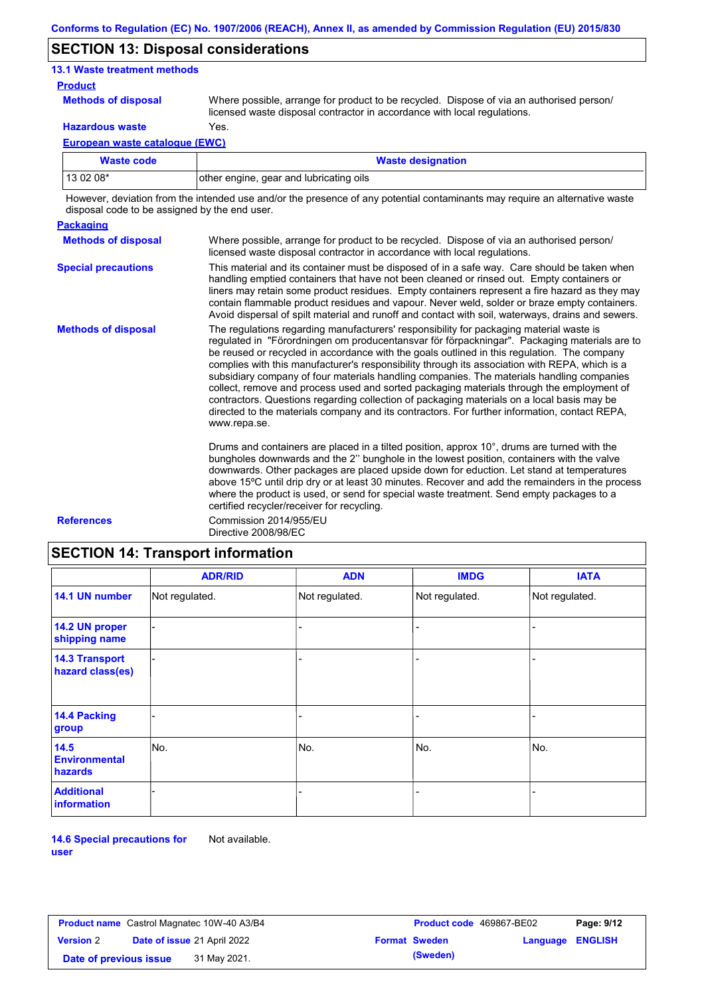### **SECTION 13: Disposal considerations**

#### **13.1 Waste treatment methods**

#### **Product**

**Methods of disposal**

Where possible, arrange for product to be recycled. Dispose of via an authorised person/ licensed waste disposal contractor in accordance with local regulations.

**Hazardous waste** Yes.

**European waste catalogue (EWC)**

| Waste code | <b>Waste designation</b>                |
|------------|-----------------------------------------|
| 13 02 08*  | other engine, gear and lubricating oils |

However, deviation from the intended use and/or the presence of any potential contaminants may require an alternative waste disposal code to be assigned by the end user.

| <b>Packaging</b>           |                                                                                                                                                                                                                                                                                                                                                                                                                                                                                                                                                                                                                                                                                                                                                                                                   |
|----------------------------|---------------------------------------------------------------------------------------------------------------------------------------------------------------------------------------------------------------------------------------------------------------------------------------------------------------------------------------------------------------------------------------------------------------------------------------------------------------------------------------------------------------------------------------------------------------------------------------------------------------------------------------------------------------------------------------------------------------------------------------------------------------------------------------------------|
| <b>Methods of disposal</b> | Where possible, arrange for product to be recycled. Dispose of via an authorised person/<br>licensed waste disposal contractor in accordance with local regulations.                                                                                                                                                                                                                                                                                                                                                                                                                                                                                                                                                                                                                              |
| <b>Special precautions</b> | This material and its container must be disposed of in a safe way. Care should be taken when<br>handling emptied containers that have not been cleaned or rinsed out. Empty containers or<br>liners may retain some product residues. Empty containers represent a fire hazard as they may<br>contain flammable product residues and vapour. Never weld, solder or braze empty containers.<br>Avoid dispersal of spilt material and runoff and contact with soil, waterways, drains and sewers.                                                                                                                                                                                                                                                                                                   |
| <b>Methods of disposal</b> | The regulations regarding manufacturers' responsibility for packaging material waste is<br>regulated in "Förordningen om producentansvar för förpackningar". Packaging materials are to<br>be reused or recycled in accordance with the goals outlined in this regulation. The company<br>complies with this manufacturer's responsibility through its association with REPA, which is a<br>subsidiary company of four materials handling companies. The materials handling companies<br>collect, remove and process used and sorted packaging materials through the employment of<br>contractors. Questions regarding collection of packaging materials on a local basis may be<br>directed to the materials company and its contractors. For further information, contact REPA,<br>www.repa.se. |
|                            | Drums and containers are placed in a tilted position, approx 10°, drums are turned with the<br>bungholes downwards and the 2" bunghole in the lowest position, containers with the valve<br>downwards. Other packages are placed upside down for eduction. Let stand at temperatures<br>above 15°C until drip dry or at least 30 minutes. Recover and add the remainders in the process<br>where the product is used, or send for special waste treatment. Send empty packages to a<br>certified recycler/receiver for recycling.                                                                                                                                                                                                                                                                 |

**References** Commission 2014/955/EU Directive 2008/98/EC

## **SECTION 14: Transport information**

|                                           | <b>ADR/RID</b> | <b>ADN</b>     | <b>IMDG</b>    | <b>IATA</b>    |
|-------------------------------------------|----------------|----------------|----------------|----------------|
| 14.1 UN number                            | Not regulated. | Not regulated. | Not regulated. | Not regulated. |
| 14.2 UN proper<br>shipping name           |                |                |                |                |
| <b>14.3 Transport</b><br>hazard class(es) |                |                |                |                |
| 14.4 Packing<br>group                     |                |                |                |                |
| 14.5<br><b>Environmental</b><br>hazards   | No.            | No.            | No.            | No.            |
| <b>Additional</b><br>information          |                |                |                |                |

**14.6 Special precautions for user** Not available.

|                        | <b>Product name</b> Castrol Magnatec 10W-40 A3/B4 | <b>Product code</b> 469867-BE02 |                         | Page: 9/12 |
|------------------------|---------------------------------------------------|---------------------------------|-------------------------|------------|
| <b>Version 2</b>       | Date of issue 21 April 2022                       | <b>Format Sweden</b>            | <b>Language ENGLISH</b> |            |
| Date of previous issue | 31 May 2021.                                      | (Sweden)                        |                         |            |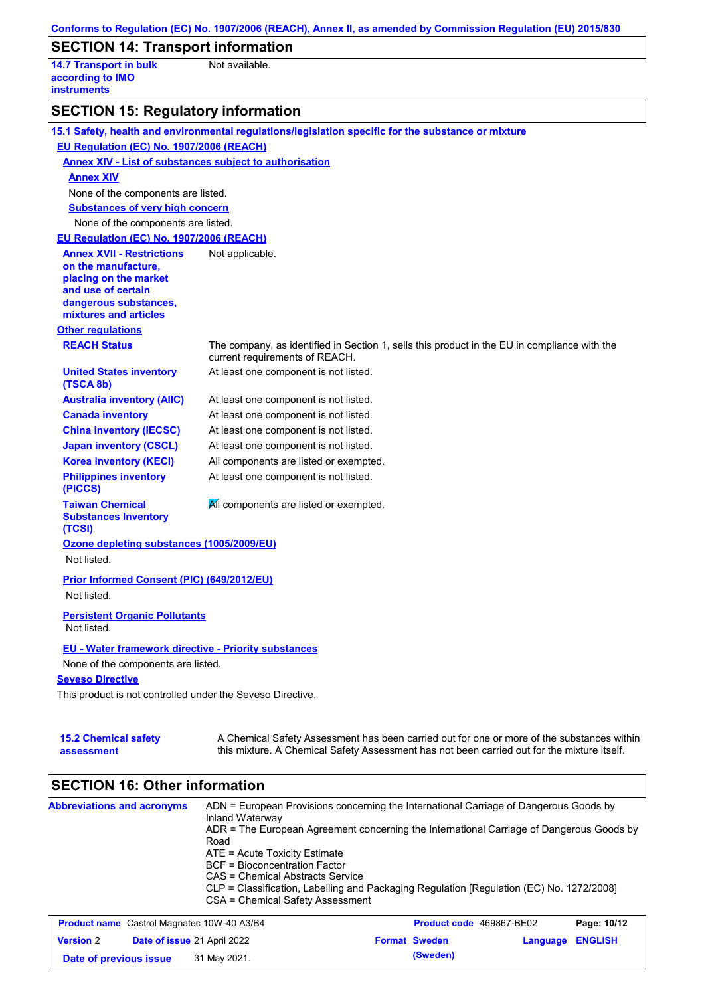|                                                                  | Not available.                                                                                                                 |
|------------------------------------------------------------------|--------------------------------------------------------------------------------------------------------------------------------|
| <b>14.7 Transport in bulk</b><br>according to IMO                |                                                                                                                                |
| <b>instruments</b>                                               |                                                                                                                                |
| <b>SECTION 15: Regulatory information</b>                        |                                                                                                                                |
|                                                                  | 15.1 Safety, health and environmental regulations/legislation specific for the substance or mixture                            |
| EU Regulation (EC) No. 1907/2006 (REACH)                         |                                                                                                                                |
|                                                                  | <b>Annex XIV - List of substances subject to authorisation</b>                                                                 |
| <b>Annex XIV</b>                                                 |                                                                                                                                |
| None of the components are listed.                               |                                                                                                                                |
| <b>Substances of very high concern</b>                           |                                                                                                                                |
| None of the components are listed.                               |                                                                                                                                |
| EU Regulation (EC) No. 1907/2006 (REACH)                         |                                                                                                                                |
| <b>Annex XVII - Restrictions</b>                                 | Not applicable.                                                                                                                |
| on the manufacture,                                              |                                                                                                                                |
| placing on the market<br>and use of certain                      |                                                                                                                                |
| dangerous substances,                                            |                                                                                                                                |
| mixtures and articles                                            |                                                                                                                                |
| <b>Other regulations</b>                                         |                                                                                                                                |
| <b>REACH Status</b>                                              | The company, as identified in Section 1, sells this product in the EU in compliance with the<br>current requirements of REACH. |
| <b>United States inventory</b><br>(TSCA 8b)                      | At least one component is not listed.                                                                                          |
| <b>Australia inventory (AIIC)</b>                                | At least one component is not listed.                                                                                          |
| <b>Canada inventory</b>                                          | At least one component is not listed.                                                                                          |
| <b>China inventory (IECSC)</b>                                   | At least one component is not listed.                                                                                          |
| <b>Japan inventory (CSCL)</b>                                    | At least one component is not listed.                                                                                          |
| <b>Korea inventory (KECI)</b>                                    | All components are listed or exempted.                                                                                         |
| <b>Philippines inventory</b><br>(PICCS)                          | At least one component is not listed.                                                                                          |
| <b>Taiwan Chemical</b><br><b>Substances Inventory</b><br>(TCSI)  | All components are listed or exempted.                                                                                         |
| Ozone depleting substances (1005/2009/EU)<br>Not listed.         |                                                                                                                                |
| <b>Prior Informed Consent (PIC) (649/2012/EU)</b><br>Not listed. |                                                                                                                                |
|                                                                  |                                                                                                                                |
| <b>Persistent Organic Pollutants</b><br>Not listed.              |                                                                                                                                |
| <b>EU - Water framework directive - Priority substances</b>      |                                                                                                                                |
| None of the components are listed.                               |                                                                                                                                |
| <b>Seveso Directive</b>                                          |                                                                                                                                |
|                                                                  |                                                                                                                                |

|  | assessment |  |  |
|--|------------|--|--|

this mixture. A Chemical Safety Assessment has not been carried out for the mixture itself.

## **SECTION 16: Other information**

| <b>Abbreviations and acronyms</b>                 | Inland Waterway<br>Road<br>$ATE = Acute Toxicity Estimate$<br>BCF = Bioconcentration Factor<br>CAS = Chemical Abstracts Service | ADN = European Provisions concerning the International Carriage of Dangerous Goods by<br>ADR = The European Agreement concerning the International Carriage of Dangerous Goods by<br>CLP = Classification, Labelling and Packaging Regulation [Regulation (EC) No. 1272/2008] |                          |
|---------------------------------------------------|---------------------------------------------------------------------------------------------------------------------------------|-------------------------------------------------------------------------------------------------------------------------------------------------------------------------------------------------------------------------------------------------------------------------------|--------------------------|
|                                                   | CSA = Chemical Safety Assessment                                                                                                |                                                                                                                                                                                                                                                                               |                          |
| <b>Product name</b> Castrol Magnates 10W-40 A3/R4 |                                                                                                                                 | <b>Product code</b> 460867-RE02                                                                                                                                                                                                                                               | P <sub>2</sub> na: 10/12 |

|                        | <b>Product name</b> Castrol Magnatec 10W-40 A3/B4 | Product code 469867-BE02 |                         | Page: 10/12 |
|------------------------|---------------------------------------------------|--------------------------|-------------------------|-------------|
| <b>Version 2</b>       | <b>Date of issue 21 April 2022</b>                | <b>Format Sweden</b>     | <b>Language ENGLISH</b> |             |
| Date of previous issue | 31 May 2021.                                      | (Sweden)                 |                         |             |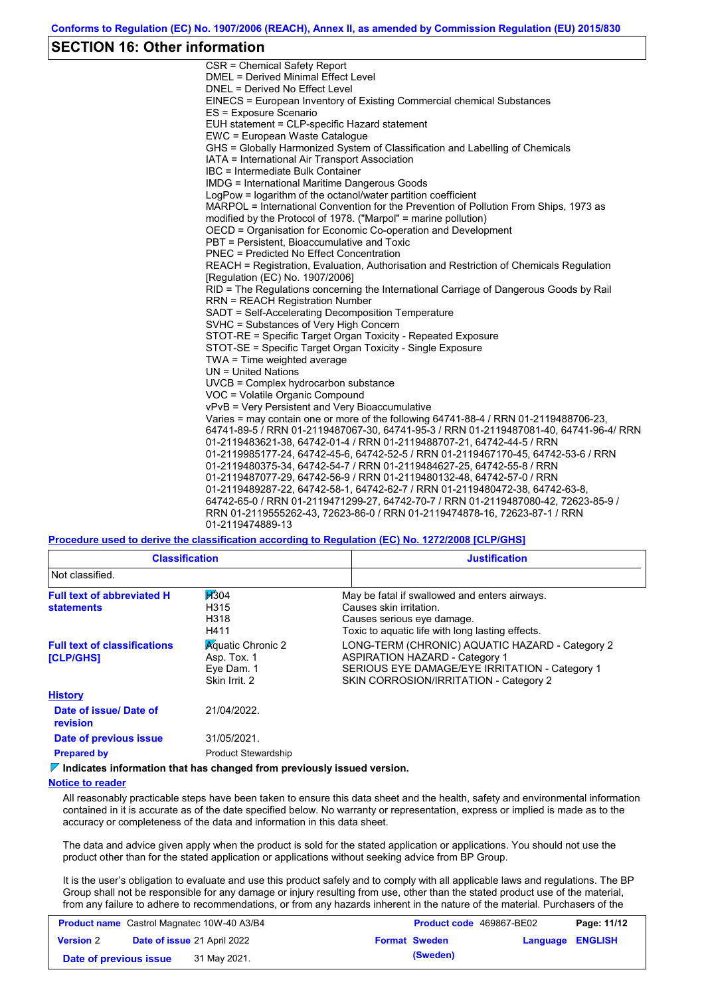### **SECTION 16: Other information**

CSR = Chemical Safety Report DMEL = Derived Minimal Effect Level DNEL = Derived No Effect Level EINECS = European Inventory of Existing Commercial chemical Substances ES = Exposure Scenario EUH statement = CLP-specific Hazard statement EWC = European Waste Catalogue GHS = Globally Harmonized System of Classification and Labelling of Chemicals IATA = International Air Transport Association IBC = Intermediate Bulk Container IMDG = International Maritime Dangerous Goods LogPow = logarithm of the octanol/water partition coefficient MARPOL = International Convention for the Prevention of Pollution From Ships, 1973 as modified by the Protocol of 1978. ("Marpol" = marine pollution) OECD = Organisation for Economic Co-operation and Development PBT = Persistent, Bioaccumulative and Toxic PNEC = Predicted No Effect Concentration REACH = Registration, Evaluation, Authorisation and Restriction of Chemicals Regulation [Regulation (EC) No. 1907/2006] RID = The Regulations concerning the International Carriage of Dangerous Goods by Rail RRN = REACH Registration Number SADT = Self-Accelerating Decomposition Temperature SVHC = Substances of Very High Concern STOT-RE = Specific Target Organ Toxicity - Repeated Exposure STOT-SE = Specific Target Organ Toxicity - Single Exposure TWA = Time weighted average UN = United Nations UVCB = Complex hydrocarbon substance VOC = Volatile Organic Compound vPvB = Very Persistent and Very Bioaccumulative Varies = may contain one or more of the following 64741-88-4 / RRN 01-2119488706-23, 64741-89-5 / RRN 01-2119487067-30, 64741-95-3 / RRN 01-2119487081-40, 64741-96-4/ RRN 01-2119483621-38, 64742-01-4 / RRN 01-2119488707-21, 64742-44-5 / RRN 01-2119985177-24, 64742-45-6, 64742-52-5 / RRN 01-2119467170-45, 64742-53-6 / RRN 01-2119480375-34, 64742-54-7 / RRN 01-2119484627-25, 64742-55-8 / RRN 01-2119487077-29, 64742-56-9 / RRN 01-2119480132-48, 64742-57-0 / RRN 01-2119489287-22, 64742-58-1, 64742-62-7 / RRN 01-2119480472-38, 64742-63-8, 64742-65-0 / RRN 01-2119471299-27, 64742-70-7 / RRN 01-2119487080-42, 72623-85-9 / RRN 01-2119555262-43, 72623-86-0 / RRN 01-2119474878-16, 72623-87-1 / RRN 01-2119474889-13

**Procedure used to derive the classification according to Regulation (EC) No. 1272/2008 [CLP/GHS]**

| <b>Classification</b>                                   |                                                                        | <b>Justification</b>                                                                                                                                                                 |
|---------------------------------------------------------|------------------------------------------------------------------------|--------------------------------------------------------------------------------------------------------------------------------------------------------------------------------------|
| Not classified.                                         |                                                                        |                                                                                                                                                                                      |
| <b>Full text of abbreviated H</b><br><b>statements</b>  | H304<br>H315<br>H318<br>H411                                           | May be fatal if swallowed and enters airways.<br>Causes skin irritation.<br>Causes serious eye damage.<br>Toxic to aquatic life with long lasting effects.                           |
| <b>Full text of classifications</b><br><b>[CLP/GHS]</b> | <b>Aguatic Chronic 2</b><br>Asp. Tox. 1<br>Eye Dam. 1<br>Skin Irrit. 2 | LONG-TERM (CHRONIC) AQUATIC HAZARD - Category 2<br><b>ASPIRATION HAZARD - Category 1</b><br>SERIOUS EYE DAMAGE/EYE IRRITATION - Category 1<br>SKIN CORROSION/IRRITATION - Category 2 |
| <b>History</b>                                          |                                                                        |                                                                                                                                                                                      |
| Date of issue/ Date of<br>revision                      | 21/04/2022.                                                            |                                                                                                                                                                                      |
| Date of previous issue                                  | 31/05/2021.                                                            |                                                                                                                                                                                      |
| <b>Prepared by</b>                                      | <b>Product Stewardship</b>                                             |                                                                                                                                                                                      |

**Indicates information that has changed from previously issued version.**

#### **Notice to reader**

All reasonably practicable steps have been taken to ensure this data sheet and the health, safety and environmental information contained in it is accurate as of the date specified below. No warranty or representation, express or implied is made as to the accuracy or completeness of the data and information in this data sheet.

The data and advice given apply when the product is sold for the stated application or applications. You should not use the product other than for the stated application or applications without seeking advice from BP Group.

It is the user's obligation to evaluate and use this product safely and to comply with all applicable laws and regulations. The BP Group shall not be responsible for any damage or injury resulting from use, other than the stated product use of the material, from any failure to adhere to recommendations, or from any hazards inherent in the nature of the material. Purchasers of the

| <b>Product name</b> Castrol Magnatec 10W-40 A3/B4 |                                    |              |  | <b>Product code</b> 469867-BE02 |                         | Page: 11/12 |
|---------------------------------------------------|------------------------------------|--------------|--|---------------------------------|-------------------------|-------------|
| <b>Version 2</b>                                  | <b>Date of issue 21 April 2022</b> |              |  | <b>Format Sweden</b>            | <b>Language ENGLISH</b> |             |
| Date of previous issue                            |                                    | 31 May 2021. |  | (Sweden)                        |                         |             |